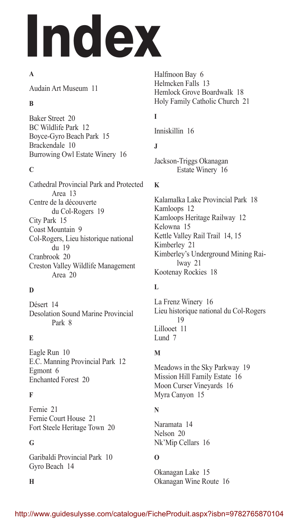# Index

#### **A**

Audain Art Museum 11

#### **B**

Baker Street 20 BC Wildlife Park 12 Boyce-Gyro Beach Park 15 Brackendale 10 Burrowing Owl Estate Winery 16

#### **C**

Cathedral Provincial Park and Protected Area 13 Centre de la découverte du Col-Rogers 19 City Park 15 Coast Mountain 9 Col-Rogers, Lieu historique national du 19 Cranbrook 20 Creston Valley Wildlife Management Area 20

## **D**

Désert 14 Desolation Sound Marine Provincial Park 8

## **E**

Eagle Run 10 E.C. Manning Provincial Park 12 Egmont 6 Enchanted Forest 20

## **F**

Fernie 21 Fernie Court House 21 Fort Steele Heritage Town 20

#### **G**

Garibaldi Provincial Park 10 Gyro Beach 14

**H**

Halfmoon Bay 6 Helmcken Falls 13 Hemlock Grove Boardwalk 18 Holy Family Catholic Church 21

# **I**

Inniskillin 16

## **J**

Jackson-Triggs Okanagan Estate Winery 16

#### **K**

Kalamalka Lake Provincial Park 18 Kamloops 12 Kamloops Heritage Railway 12 Kelowna 15 Kettle Valley Rail Trail 14, 15 Kimberley 21 Kimberley's Underground Mining Railway 21 Kootenay Rockies 18

## **L**

La Frenz Winery 16 Lieu historique national du Col-Rogers 19 Lillooet 11 Lund 7

## **M**

Meadows in the Sky Parkway 19 Mission Hill Family Estate 16 Moon Curser Vineyards 16 Myra Canyon 15

## **N**

Naramata 14 Nelson 20 Nk'Mip Cellars 16

## **O**

Okanagan Lake 15 Okanagan Wine Route 16